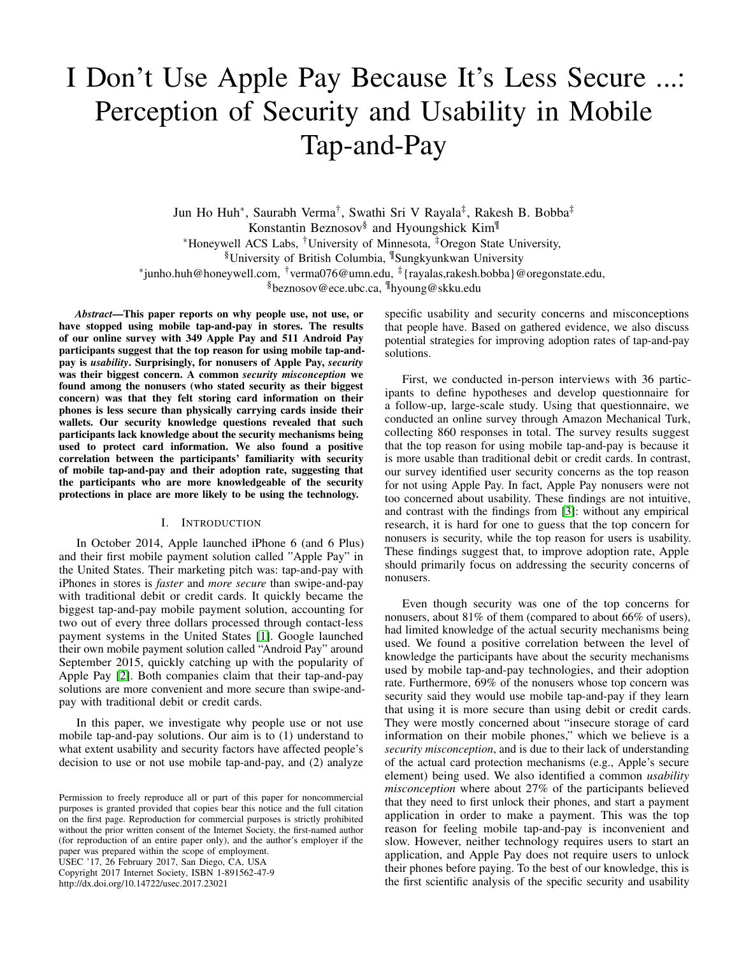# I Don't Use Apple Pay Because It's Less Secure ...: Perception of Security and Usability in Mobile Tap-and-Pay

Jun Ho Huh<sup>∗</sup> , Saurabh Verma† , Swathi Sri V Rayala‡ , Rakesh B. Bobba‡ Konstantin Beznosov§ and Hyoungshick Kim¶ <sup>∗</sup>Honeywell ACS Labs, †University of Minnesota, ‡Oregon State University, §University of British Columbia, ¶Sungkyunkwan University ∗ junho.huh@honeywell.com, †verma076@umn.edu, ‡ {rayalas,rakesh.bobba}@oregonstate.edu, §beznosov@ece.ubc.ca, ¶hyoung@skku.edu

*Abstract*—This paper reports on why people use, not use, or have stopped using mobile tap-and-pay in stores. The results of our online survey with 349 Apple Pay and 511 Android Pay participants suggest that the top reason for using mobile tap-andpay is *usability*. Surprisingly, for nonusers of Apple Pay, *security* was their biggest concern. A common *security misconception* we found among the nonusers (who stated security as their biggest concern) was that they felt storing card information on their phones is less secure than physically carrying cards inside their wallets. Our security knowledge questions revealed that such participants lack knowledge about the security mechanisms being used to protect card information. We also found a positive correlation between the participants' familiarity with security of mobile tap-and-pay and their adoption rate, suggesting that the participants who are more knowledgeable of the security protections in place are more likely to be using the technology.

# I. INTRODUCTION

In October 2014, Apple launched iPhone 6 (and 6 Plus) and their first mobile payment solution called "Apple Pay" in the United States. Their marketing pitch was: tap-and-pay with iPhones in stores is *faster* and *more secure* than swipe-and-pay with traditional debit or credit cards. It quickly became the biggest tap-and-pay mobile payment solution, accounting for two out of every three dollars processed through contact-less payment systems in the United States [\[1\]](#page-10-0). Google launched their own mobile payment solution called "Android Pay" around September 2015, quickly catching up with the popularity of Apple Pay [\[2\]](#page-10-1). Both companies claim that their tap-and-pay solutions are more convenient and more secure than swipe-andpay with traditional debit or credit cards.

In this paper, we investigate why people use or not use mobile tap-and-pay solutions. Our aim is to (1) understand to what extent usability and security factors have affected people's decision to use or not use mobile tap-and-pay, and (2) analyze

USEC '17, 26 February 2017, San Diego, CA, USA Copyright 2017 Internet Society, ISBN 1-891562-47-9 http://dx.doi.org/10.14722/usec.2017.23021

specific usability and security concerns and misconceptions that people have. Based on gathered evidence, we also discuss potential strategies for improving adoption rates of tap-and-pay solutions.

First, we conducted in-person interviews with 36 participants to define hypotheses and develop questionnaire for a follow-up, large-scale study. Using that questionnaire, we conducted an online survey through Amazon Mechanical Turk, collecting 860 responses in total. The survey results suggest that the top reason for using mobile tap-and-pay is because it is more usable than traditional debit or credit cards. In contrast, our survey identified user security concerns as the top reason for not using Apple Pay. In fact, Apple Pay nonusers were not too concerned about usability. These findings are not intuitive, and contrast with the findings from [\[3\]](#page-10-2): without any empirical research, it is hard for one to guess that the top concern for nonusers is security, while the top reason for users is usability. These findings suggest that, to improve adoption rate, Apple should primarily focus on addressing the security concerns of nonusers.

Even though security was one of the top concerns for nonusers, about 81% of them (compared to about 66% of users), had limited knowledge of the actual security mechanisms being used. We found a positive correlation between the level of knowledge the participants have about the security mechanisms used by mobile tap-and-pay technologies, and their adoption rate. Furthermore, 69% of the nonusers whose top concern was security said they would use mobile tap-and-pay if they learn that using it is more secure than using debit or credit cards. They were mostly concerned about "insecure storage of card information on their mobile phones," which we believe is a *security misconception*, and is due to their lack of understanding of the actual card protection mechanisms (e.g., Apple's secure element) being used. We also identified a common *usability misconception* where about 27% of the participants believed that they need to first unlock their phones, and start a payment application in order to make a payment. This was the top reason for feeling mobile tap-and-pay is inconvenient and slow. However, neither technology requires users to start an application, and Apple Pay does not require users to unlock their phones before paying. To the best of our knowledge, this is the first scientific analysis of the specific security and usability

Permission to freely reproduce all or part of this paper for noncommercial purposes is granted provided that copies bear this notice and the full citation on the first page. Reproduction for commercial purposes is strictly prohibited without the prior written consent of the Internet Society, the first-named author (for reproduction of an entire paper only), and the author's employer if the paper was prepared within the scope of employment.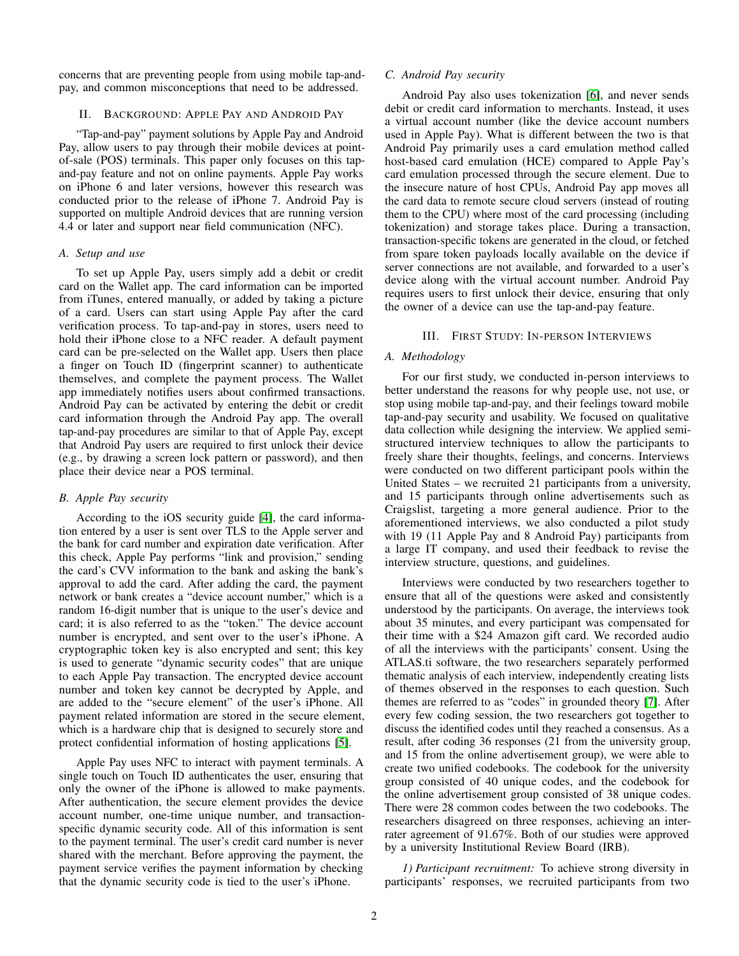concerns that are preventing people from using mobile tap-andpay, and common misconceptions that need to be addressed.

#### <span id="page-1-1"></span>II. BACKGROUND: APPLE PAY AND ANDROID PAY

"Tap-and-pay" payment solutions by Apple Pay and Android Pay, allow users to pay through their mobile devices at pointof-sale (POS) terminals. This paper only focuses on this tapand-pay feature and not on online payments. Apple Pay works on iPhone 6 and later versions, however this research was conducted prior to the release of iPhone 7. Android Pay is supported on multiple Android devices that are running version 4.4 or later and support near field communication (NFC).

#### <span id="page-1-0"></span>*A. Setup and use*

To set up Apple Pay, users simply add a debit or credit card on the Wallet app. The card information can be imported from iTunes, entered manually, or added by taking a picture of a card. Users can start using Apple Pay after the card verification process. To tap-and-pay in stores, users need to hold their iPhone close to a NFC reader. A default payment card can be pre-selected on the Wallet app. Users then place a finger on Touch ID (fingerprint scanner) to authenticate themselves, and complete the payment process. The Wallet app immediately notifies users about confirmed transactions. Android Pay can be activated by entering the debit or credit card information through the Android Pay app. The overall tap-and-pay procedures are similar to that of Apple Pay, except that Android Pay users are required to first unlock their device (e.g., by drawing a screen lock pattern or password), and then place their device near a POS terminal.

## *B. Apple Pay security*

According to the iOS security guide [\[4\]](#page-10-3), the card information entered by a user is sent over TLS to the Apple server and the bank for card number and expiration date verification. After this check, Apple Pay performs "link and provision," sending the card's CVV information to the bank and asking the bank's approval to add the card. After adding the card, the payment network or bank creates a "device account number," which is a random 16-digit number that is unique to the user's device and card; it is also referred to as the "token." The device account number is encrypted, and sent over to the user's iPhone. A cryptographic token key is also encrypted and sent; this key is used to generate "dynamic security codes" that are unique to each Apple Pay transaction. The encrypted device account number and token key cannot be decrypted by Apple, and are added to the "secure element" of the user's iPhone. All payment related information are stored in the secure element, which is a hardware chip that is designed to securely store and protect confidential information of hosting applications [\[5\]](#page-10-4).

Apple Pay uses NFC to interact with payment terminals. A single touch on Touch ID authenticates the user, ensuring that only the owner of the iPhone is allowed to make payments. After authentication, the secure element provides the device account number, one-time unique number, and transactionspecific dynamic security code. All of this information is sent to the payment terminal. The user's credit card number is never shared with the merchant. Before approving the payment, the payment service verifies the payment information by checking that the dynamic security code is tied to the user's iPhone.

## *C. Android Pay security*

Android Pay also uses tokenization [\[6\]](#page-10-5), and never sends debit or credit card information to merchants. Instead, it uses a virtual account number (like the device account numbers used in Apple Pay). What is different between the two is that Android Pay primarily uses a card emulation method called host-based card emulation (HCE) compared to Apple Pay's card emulation processed through the secure element. Due to the insecure nature of host CPUs, Android Pay app moves all the card data to remote secure cloud servers (instead of routing them to the CPU) where most of the card processing (including tokenization) and storage takes place. During a transaction, transaction-specific tokens are generated in the cloud, or fetched from spare token payloads locally available on the device if server connections are not available, and forwarded to a user's device along with the virtual account number. Android Pay requires users to first unlock their device, ensuring that only the owner of a device can use the tap-and-pay feature.

### III. FIRST STUDY: IN-PERSON INTERVIEWS

# *A. Methodology*

For our first study, we conducted in-person interviews to better understand the reasons for why people use, not use, or stop using mobile tap-and-pay, and their feelings toward mobile tap-and-pay security and usability. We focused on qualitative data collection while designing the interview. We applied semistructured interview techniques to allow the participants to freely share their thoughts, feelings, and concerns. Interviews were conducted on two different participant pools within the United States – we recruited 21 participants from a university, and 15 participants through online advertisements such as Craigslist, targeting a more general audience. Prior to the aforementioned interviews, we also conducted a pilot study with 19 (11 Apple Pay and 8 Android Pay) participants from a large IT company, and used their feedback to revise the interview structure, questions, and guidelines.

Interviews were conducted by two researchers together to ensure that all of the questions were asked and consistently understood by the participants. On average, the interviews took about 35 minutes, and every participant was compensated for their time with a \$24 Amazon gift card. We recorded audio of all the interviews with the participants' consent. Using the ATLAS.ti software, the two researchers separately performed thematic analysis of each interview, independently creating lists of themes observed in the responses to each question. Such themes are referred to as "codes" in grounded theory [\[7\]](#page-10-6). After every few coding session, the two researchers got together to discuss the identified codes until they reached a consensus. As a result, after coding 36 responses (21 from the university group, and 15 from the online advertisement group), we were able to create two unified codebooks. The codebook for the university group consisted of 40 unique codes, and the codebook for the online advertisement group consisted of 38 unique codes. There were 28 common codes between the two codebooks. The researchers disagreed on three responses, achieving an interrater agreement of 91.67%. Both of our studies were approved by a university Institutional Review Board (IRB).

*1) Participant recruitment:* To achieve strong diversity in participants' responses, we recruited participants from two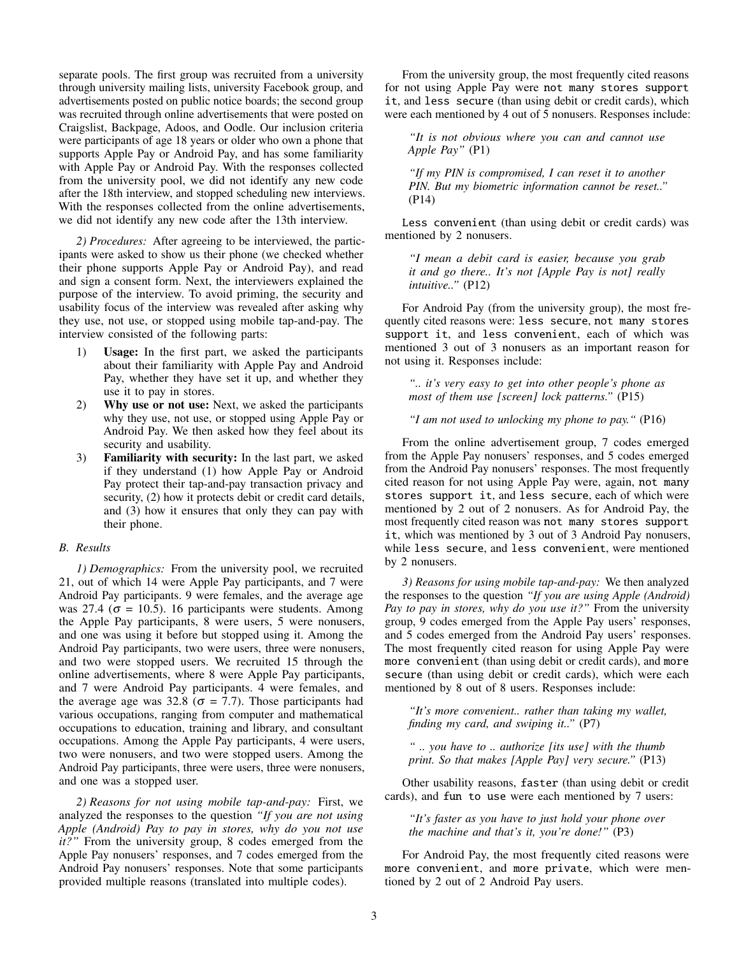separate pools. The first group was recruited from a university through university mailing lists, university Facebook group, and advertisements posted on public notice boards; the second group was recruited through online advertisements that were posted on Craigslist, Backpage, Adoos, and Oodle. Our inclusion criteria were participants of age 18 years or older who own a phone that supports Apple Pay or Android Pay, and has some familiarity with Apple Pay or Android Pay. With the responses collected from the university pool, we did not identify any new code after the 18th interview, and stopped scheduling new interviews. With the responses collected from the online advertisements, we did not identify any new code after the 13th interview.

*2) Procedures:* After agreeing to be interviewed, the participants were asked to show us their phone (we checked whether their phone supports Apple Pay or Android Pay), and read and sign a consent form. Next, the interviewers explained the purpose of the interview. To avoid priming, the security and usability focus of the interview was revealed after asking why they use, not use, or stopped using mobile tap-and-pay. The interview consisted of the following parts:

- 1) Usage: In the first part, we asked the participants about their familiarity with Apple Pay and Android Pay, whether they have set it up, and whether they use it to pay in stores.
- 2) Why use or not use: Next, we asked the participants why they use, not use, or stopped using Apple Pay or Android Pay. We then asked how they feel about its security and usability.
- 3) Familiarity with security: In the last part, we asked if they understand (1) how Apple Pay or Android Pay protect their tap-and-pay transaction privacy and security,  $(2)$  how it protects debit or credit card details, and (3) how it ensures that only they can pay with their phone.

## *B. Results*

*1) Demographics:* From the university pool, we recruited 21, out of which 14 were Apple Pay participants, and 7 were Android Pay participants. 9 were females, and the average age was 27.4 ( $\sigma$  = 10.5). 16 participants were students. Among the Apple Pay participants, 8 were users, 5 were nonusers, and one was using it before but stopped using it. Among the Android Pay participants, two were users, three were nonusers, and two were stopped users. We recruited 15 through the online advertisements, where 8 were Apple Pay participants, and 7 were Android Pay participants. 4 were females, and the average age was 32.8 ( $\sigma$  = 7.7). Those participants had various occupations, ranging from computer and mathematical occupations to education, training and library, and consultant occupations. Among the Apple Pay participants, 4 were users, two were nonusers, and two were stopped users. Among the Android Pay participants, three were users, three were nonusers, and one was a stopped user.

*2) Reasons for not using mobile tap-and-pay:* First, we analyzed the responses to the question *"If you are not using Apple (Android) Pay to pay in stores, why do you not use it?"* From the university group, 8 codes emerged from the Apple Pay nonusers' responses, and 7 codes emerged from the Android Pay nonusers' responses. Note that some participants provided multiple reasons (translated into multiple codes).

From the university group, the most frequently cited reasons for not using Apple Pay were not many stores support it, and less secure (than using debit or credit cards), which were each mentioned by 4 out of 5 nonusers. Responses include:

*"It is not obvious where you can and cannot use Apple Pay"* (P1)

*"If my PIN is compromised, I can reset it to another PIN. But my biometric information cannot be reset.."* (P14)

Less convenient (than using debit or credit cards) was mentioned by 2 nonusers.

*"I mean a debit card is easier, because you grab it and go there.. It's not [Apple Pay is not] really intuitive.."* (P12)

For Android Pay (from the university group), the most frequently cited reasons were: less secure, not many stores support it, and less convenient, each of which was mentioned 3 out of 3 nonusers as an important reason for not using it. Responses include:

*".. it's very easy to get into other people's phone as most of them use [screen] lock patterns."* (P15)

*"I am not used to unlocking my phone to pay."* (P16)

From the online advertisement group, 7 codes emerged from the Apple Pay nonusers' responses, and 5 codes emerged from the Android Pay nonusers' responses. The most frequently cited reason for not using Apple Pay were, again, not many stores support it, and less secure, each of which were mentioned by 2 out of 2 nonusers. As for Android Pay, the most frequently cited reason was not many stores support it, which was mentioned by 3 out of 3 Android Pay nonusers, while less secure, and less convenient, were mentioned by 2 nonusers.

*3) Reasons for using mobile tap-and-pay:* We then analyzed the responses to the question *"If you are using Apple (Android) Pay to pay in stores, why do you use it?"* From the university group, 9 codes emerged from the Apple Pay users' responses, and 5 codes emerged from the Android Pay users' responses. The most frequently cited reason for using Apple Pay were more convenient (than using debit or credit cards), and more secure (than using debit or credit cards), which were each mentioned by 8 out of 8 users. Responses include:

*"It's more convenient.. rather than taking my wallet, finding my card, and swiping it.."* (P7)

*" .. you have to .. authorize [its use] with the thumb print. So that makes [Apple Pay] very secure."* (P13)

Other usability reasons, faster (than using debit or credit cards), and fun to use were each mentioned by 7 users:

*"It's faster as you have to just hold your phone over the machine and that's it, you're done!"* (P3)

For Android Pay, the most frequently cited reasons were more convenient, and more private, which were mentioned by 2 out of 2 Android Pay users.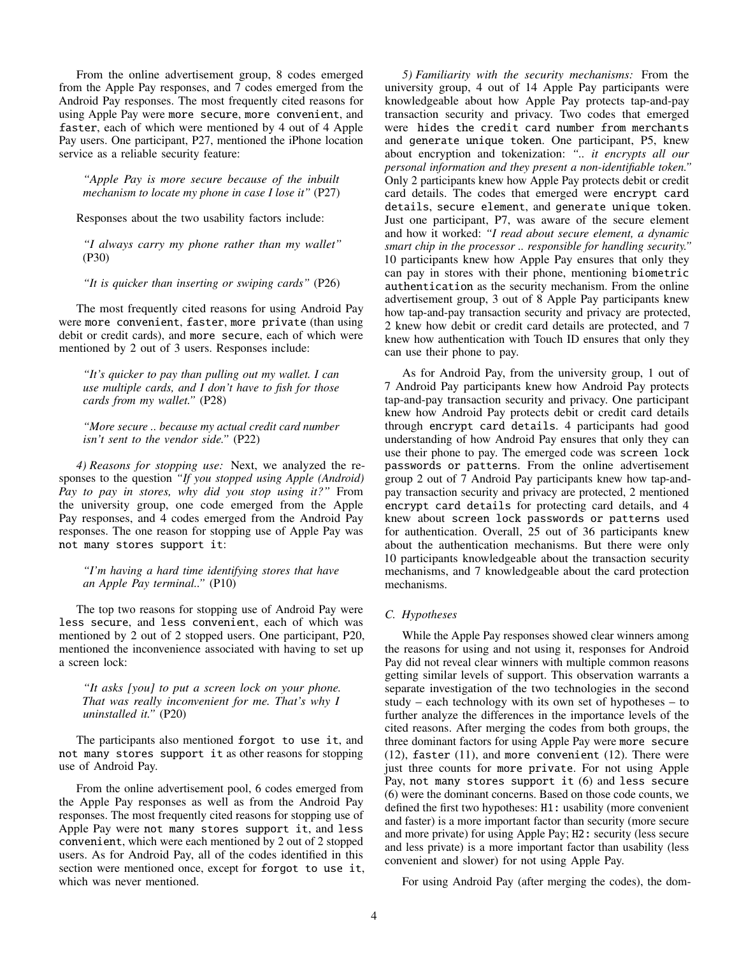From the online advertisement group, 8 codes emerged from the Apple Pay responses, and 7 codes emerged from the Android Pay responses. The most frequently cited reasons for using Apple Pay were more secure, more convenient, and faster, each of which were mentioned by 4 out of 4 Apple Pay users. One participant, P27, mentioned the iPhone location service as a reliable security feature:

*"Apple Pay is more secure because of the inbuilt mechanism to locate my phone in case I lose it"* (P27)

Responses about the two usability factors include:

*"I always carry my phone rather than my wallet"* (P30)

*"It is quicker than inserting or swiping cards"* (P26)

The most frequently cited reasons for using Android Pay were more convenient, faster, more private (than using debit or credit cards), and more secure, each of which were mentioned by 2 out of 3 users. Responses include:

*"It's quicker to pay than pulling out my wallet. I can use multiple cards, and I don't have to fish for those cards from my wallet."* (P28)

*"More secure .. because my actual credit card number isn't sent to the vendor side."* (P22)

*4) Reasons for stopping use:* Next, we analyzed the responses to the question *"If you stopped using Apple (Android) Pay to pay in stores, why did you stop using it?"* From the university group, one code emerged from the Apple Pay responses, and 4 codes emerged from the Android Pay responses. The one reason for stopping use of Apple Pay was not many stores support it:

*"I'm having a hard time identifying stores that have an Apple Pay terminal.."* (P10)

The top two reasons for stopping use of Android Pay were less secure, and less convenient, each of which was mentioned by 2 out of 2 stopped users. One participant, P20, mentioned the inconvenience associated with having to set up a screen lock:

*"It asks [you] to put a screen lock on your phone. That was really inconvenient for me. That's why I uninstalled it."* (P20)

The participants also mentioned forgot to use it, and not many stores support it as other reasons for stopping use of Android Pay.

From the online advertisement pool, 6 codes emerged from the Apple Pay responses as well as from the Android Pay responses. The most frequently cited reasons for stopping use of Apple Pay were not many stores support it, and less convenient, which were each mentioned by 2 out of 2 stopped users. As for Android Pay, all of the codes identified in this section were mentioned once, except for forgot to use it, which was never mentioned.

*5) Familiarity with the security mechanisms:* From the university group, 4 out of 14 Apple Pay participants were knowledgeable about how Apple Pay protects tap-and-pay transaction security and privacy. Two codes that emerged were hides the credit card number from merchants and generate unique token. One participant, P5, knew about encryption and tokenization: *".. it encrypts all our personal information and they present a non-identifiable token."* Only 2 participants knew how Apple Pay protects debit or credit card details. The codes that emerged were encrypt card details, secure element, and generate unique token. Just one participant, P7, was aware of the secure element and how it worked: *"I read about secure element, a dynamic smart chip in the processor .. responsible for handling security."* 10 participants knew how Apple Pay ensures that only they can pay in stores with their phone, mentioning biometric authentication as the security mechanism. From the online advertisement group, 3 out of 8 Apple Pay participants knew how tap-and-pay transaction security and privacy are protected, 2 knew how debit or credit card details are protected, and 7 knew how authentication with Touch ID ensures that only they can use their phone to pay.

As for Android Pay, from the university group, 1 out of 7 Android Pay participants knew how Android Pay protects tap-and-pay transaction security and privacy. One participant knew how Android Pay protects debit or credit card details through encrypt card details. 4 participants had good understanding of how Android Pay ensures that only they can use their phone to pay. The emerged code was screen lock passwords or patterns. From the online advertisement group 2 out of 7 Android Pay participants knew how tap-andpay transaction security and privacy are protected, 2 mentioned encrypt card details for protecting card details, and 4 knew about screen lock passwords or patterns used for authentication. Overall, 25 out of 36 participants knew about the authentication mechanisms. But there were only 10 participants knowledgeable about the transaction security mechanisms, and 7 knowledgeable about the card protection mechanisms.

## *C. Hypotheses*

While the Apple Pay responses showed clear winners among the reasons for using and not using it, responses for Android Pay did not reveal clear winners with multiple common reasons getting similar levels of support. This observation warrants a separate investigation of the two technologies in the second study – each technology with its own set of hypotheses – to further analyze the differences in the importance levels of the cited reasons. After merging the codes from both groups, the three dominant factors for using Apple Pay were more secure (12), faster (11), and more convenient (12). There were just three counts for more private. For not using Apple Pay, not many stores support it (6) and less secure (6) were the dominant concerns. Based on those code counts, we defined the first two hypotheses: H1: usability (more convenient and faster) is a more important factor than security (more secure and more private) for using Apple Pay; H2: security (less secure and less private) is a more important factor than usability (less convenient and slower) for not using Apple Pay.

For using Android Pay (after merging the codes), the dom-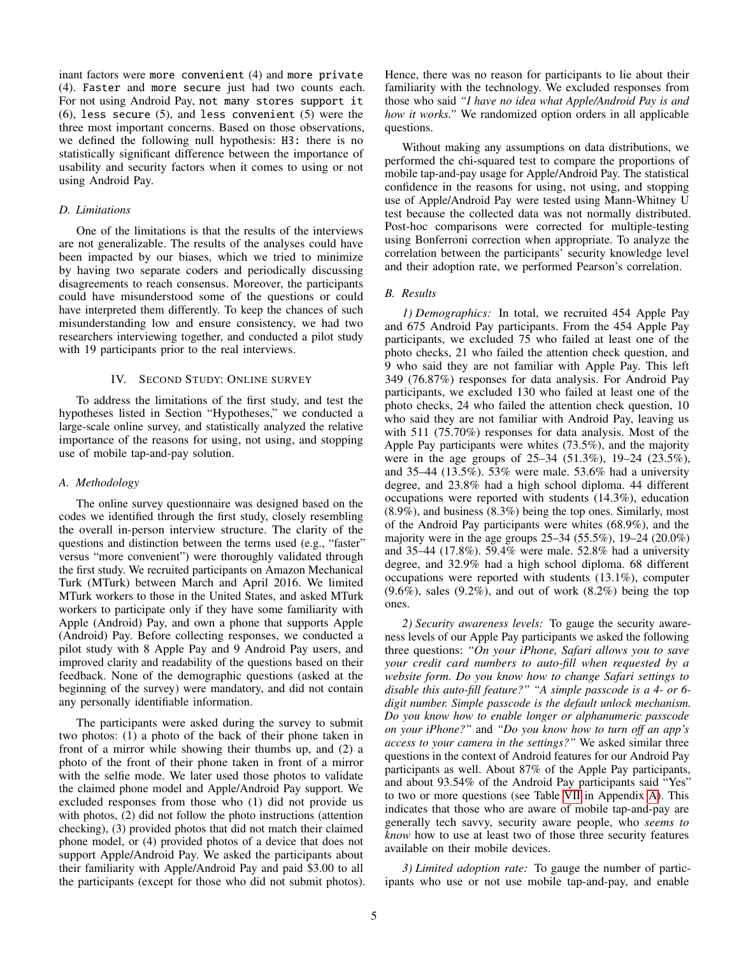inant factors were more convenient (4) and more private (4). Faster and more secure just had two counts each. For not using Android Pay, not many stores support it  $(6)$ , less secure  $(5)$ , and less convenient  $(5)$  were the three most important concerns. Based on those observations, we defined the following null hypothesis: H3: there is no statistically significant difference between the importance of usability and security factors when it comes to using or not using Android Pay.

### *D. Limitations*

One of the limitations is that the results of the interviews are not generalizable. The results of the analyses could have been impacted by our biases, which we tried to minimize by having two separate coders and periodically discussing disagreements to reach consensus. Moreover, the participants could have misunderstood some of the questions or could have interpreted them differently. To keep the chances of such misunderstanding low and ensure consistency, we had two researchers interviewing together, and conducted a pilot study with 19 participants prior to the real interviews.

# IV. SECOND STUDY: ONLINE SURVEY

To address the limitations of the first study, and test the hypotheses listed in Section "Hypotheses," we conducted a large-scale online survey, and statistically analyzed the relative importance of the reasons for using, not using, and stopping use of mobile tap-and-pay solution.

#### *A. Methodology*

The online survey questionnaire was designed based on the codes we identified through the first study, closely resembling the overall in-person interview structure. The clarity of the questions and distinction between the terms used (e.g., "faster" versus "more convenient") were thoroughly validated through the first study. We recruited participants on Amazon Mechanical Turk (MTurk) between March and April 2016. We limited MTurk workers to those in the United States, and asked MTurk workers to participate only if they have some familiarity with Apple (Android) Pay, and own a phone that supports Apple (Android) Pay. Before collecting responses, we conducted a pilot study with 8 Apple Pay and 9 Android Pay users, and improved clarity and readability of the questions based on their feedback. None of the demographic questions (asked at the beginning of the survey) were mandatory, and did not contain any personally identifiable information.

The participants were asked during the survey to submit two photos: (1) a photo of the back of their phone taken in front of a mirror while showing their thumbs up, and (2) a photo of the front of their phone taken in front of a mirror with the selfie mode. We later used those photos to validate the claimed phone model and Apple/Android Pay support. We excluded responses from those who (1) did not provide us with photos, (2) did not follow the photo instructions (attention checking), (3) provided photos that did not match their claimed phone model, or (4) provided photos of a device that does not support Apple/Android Pay. We asked the participants about their familiarity with Apple/Android Pay and paid \$3.00 to all the participants (except for those who did not submit photos). Hence, there was no reason for participants to lie about their familiarity with the technology. We excluded responses from those who said *"I have no idea what Apple/Android Pay is and how it works."* We randomized option orders in all applicable questions.

Without making any assumptions on data distributions, we performed the chi-squared test to compare the proportions of mobile tap-and-pay usage for Apple/Android Pay. The statistical confidence in the reasons for using, not using, and stopping use of Apple/Android Pay were tested using Mann-Whitney U test because the collected data was not normally distributed. Post-hoc comparisons were corrected for multiple-testing using Bonferroni correction when appropriate. To analyze the correlation between the participants' security knowledge level and their adoption rate, we performed Pearson's correlation.

## <span id="page-4-0"></span>*B. Results*

*1) Demographics:* In total, we recruited 454 Apple Pay and 675 Android Pay participants. From the 454 Apple Pay participants, we excluded 75 who failed at least one of the photo checks, 21 who failed the attention check question, and 9 who said they are not familiar with Apple Pay. This left 349 (76.87%) responses for data analysis. For Android Pay participants, we excluded 130 who failed at least one of the photo checks, 24 who failed the attention check question, 10 who said they are not familiar with Android Pay, leaving us with 511 (75.70%) responses for data analysis. Most of the Apple Pay participants were whites (73.5%), and the majority were in the age groups of 25–34 (51.3%), 19–24 (23.5%), and 35–44 (13.5%). 53% were male. 53.6% had a university degree, and 23.8% had a high school diploma. 44 different occupations were reported with students (14.3%), education (8.9%), and business (8.3%) being the top ones. Similarly, most of the Android Pay participants were whites (68.9%), and the majority were in the age groups 25–34 (55.5%), 19–24 (20.0%) and 35–44 (17.8%). 59.4% were male. 52.8% had a university degree, and 32.9% had a high school diploma. 68 different occupations were reported with students (13.1%), computer  $(9.6\%)$ , sales  $(9.2\%)$ , and out of work  $(8.2\%)$  being the top ones.

*2) Security awareness levels:* To gauge the security awareness levels of our Apple Pay participants we asked the following three questions: *"On your iPhone, Safari allows you to save your credit card numbers to auto-fill when requested by a website form. Do you know how to change Safari settings to disable this auto-fill feature?" "A simple passcode is a 4- or 6 digit number. Simple passcode is the default unlock mechanism. Do you know how to enable longer or alphanumeric passcode on your iPhone?"* and *"Do you know how to turn off an app's access to your camera in the settings?"* We asked similar three questions in the context of Android features for our Android Pay participants as well. About 87% of the Apple Pay participants, and about 93.54% of the Android Pay participants said "Yes" to two or more questions (see Table [VII](#page-10-7) in Appendix [A\)](#page-10-8). This indicates that those who are aware of mobile tap-and-pay are generally tech savvy, security aware people, who *seems to know* how to use at least two of those three security features available on their mobile devices.

*3) Limited adoption rate:* To gauge the number of participants who use or not use mobile tap-and-pay, and enable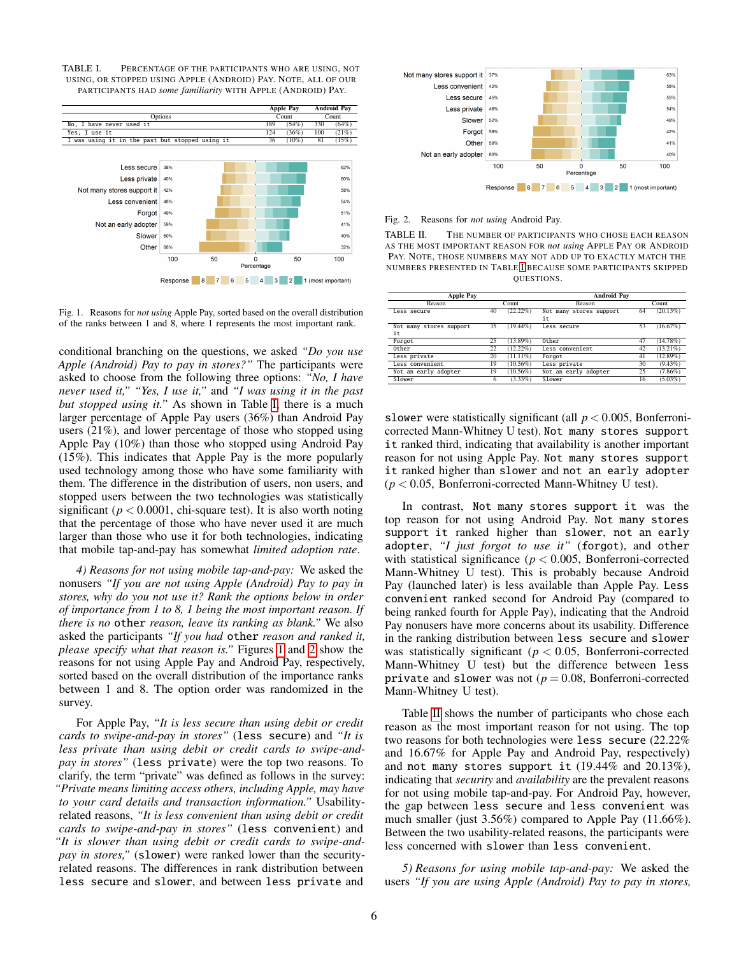<span id="page-5-0"></span>TABLE I. PERCENTAGE OF THE PARTICIPANTS WHO ARE USING, NOT USING, OR STOPPED USING APPLE (ANDROID) PAY. NOTE, ALL OF OUR PARTICIPANTS HAD *some familiarity* WITH APPLE (ANDROID) PAY.



<span id="page-5-1"></span>Fig. 1. Reasons for *not using* Apple Pay, sorted based on the overall distribution of the ranks between 1 and 8, where 1 represents the most important rank.

conditional branching on the questions, we asked *"Do you use Apple (Android) Pay to pay in stores?"* The participants were asked to choose from the following three options: *"No, I have never used it," "Yes, I use it,"* and *"I was using it in the past but stopped using it."* As shown in Table [I,](#page-5-0) there is a much larger percentage of Apple Pay users (36%) than Android Pay users (21%), and lower percentage of those who stopped using Apple Pay (10%) than those who stopped using Android Pay (15%). This indicates that Apple Pay is the more popularly used technology among those who have some familiarity with them. The difference in the distribution of users, non users, and stopped users between the two technologies was statistically significant ( $p < 0.0001$ , chi-square test). It is also worth noting that the percentage of those who have never used it are much larger than those who use it for both technologies, indicating that mobile tap-and-pay has somewhat *limited adoption rate*.

*4) Reasons for not using mobile tap-and-pay:* We asked the nonusers *"If you are not using Apple (Android) Pay to pay in stores, why do you not use it? Rank the options below in order of importance from 1 to 8, 1 being the most important reason. If there is no* other *reason, leave its ranking as blank."* We also asked the participants *"If you had* other *reason and ranked it, please specify what that reason is."* Figures [1](#page-5-1) and [2](#page-5-2) show the reasons for not using Apple Pay and Android Pay, respectively, sorted based on the overall distribution of the importance ranks between 1 and 8. The option order was randomized in the survey.

For Apple Pay, *"It is less secure than using debit or credit cards to swipe-and-pay in stores"* (less secure) and *"It is less private than using debit or credit cards to swipe-andpay in stores"* (less private) were the top two reasons. To clarify, the term "private" was defined as follows in the survey: *"Private means limiting access others, including Apple, may have to your card details and transaction information."* Usabilityrelated reasons, *"It is less convenient than using debit or credit cards to swipe-and-pay in stores"* (less convenient) and *"It is slower than using debit or credit cards to swipe-andpay in stores,"* (slower) were ranked lower than the securityrelated reasons. The differences in rank distribution between less secure and slower, and between less private and



<span id="page-5-2"></span>Fig. 2. Reasons for *not using* Android Pay.

<span id="page-5-3"></span>TABLE II. THE NUMBER OF PARTICIPANTS WHO CHOSE EACH REASON AS THE MOST IMPORTANT REASON FOR *not using* APPLE PAY OR ANDROID PAY. NOTE, THOSE NUMBERS MAY NOT ADD UP TO EXACTLY MATCH THE NUMBERS PRESENTED IN TABLE [I](#page-5-0) BECAUSE SOME PARTICIPANTS SKIPPED QUESTIONS.

| <b>Apple Pay</b>              |       | <b>Android Pay</b> |                               |       |             |
|-------------------------------|-------|--------------------|-------------------------------|-------|-------------|
| Reason                        | Count |                    | Reason                        | Count |             |
| Less secure                   | 40    | $(22.22\%)$        | Not many stores support<br>it | 64    | (20.13%)    |
| Not many stores support<br>it | 35    | $(19.44\%)$        | Less secure                   | 53    | (16.67%)    |
| Forgot                        | 25    | $13.89\%$          | Other                         | 47    | (14.78%)    |
| Other                         | 22    | $12.22\%$          | Less convenient               | 42    | $(13.21\%)$ |
| Less private                  | 20    | $(11.11\%)$        | Forgot                        | 41    | $(12.89\%)$ |
| Less convenient               | 19    | $(10.56\%)$        | Less private                  | 30    | $(9.43\%)$  |
| Not an early adopter          | 19    | $(10.56\%)$        | Not an early adopter          | 25    | $(7.86\%)$  |
| Slower                        |       | $(3.33\%)$         | Slower                        | 16    | $(5.03\%)$  |

slower were statistically significant (all  $p < 0.005$ , Bonferronicorrected Mann-Whitney U test). Not many stores support it ranked third, indicating that availability is another important reason for not using Apple Pay. Not many stores support it ranked higher than slower and not an early adopter  $(p < 0.05$ , Bonferroni-corrected Mann-Whitney U test).

In contrast, Not many stores support it was the top reason for not using Android Pay. Not many stores support it ranked higher than slower, not an early adopter, *"I just forgot to use it"* (forgot), and other with statistical significance ( $p < 0.005$ , Bonferroni-corrected Mann-Whitney U test). This is probably because Android Pay (launched later) is less available than Apple Pay. Less convenient ranked second for Android Pay (compared to being ranked fourth for Apple Pay), indicating that the Android Pay nonusers have more concerns about its usability. Difference in the ranking distribution between less secure and slower was statistically significant ( $p < 0.05$ , Bonferroni-corrected Mann-Whitney U test) but the difference between less private and slower was not  $(p = 0.08,$  Bonferroni-corrected Mann-Whitney U test).

Table [II](#page-5-3) shows the number of participants who chose each reason as the most important reason for not using. The top two reasons for both technologies were less secure (22.22% and 16.67% for Apple Pay and Android Pay, respectively) and not many stores support it (19.44% and 20.13%), indicating that *security* and *availability* are the prevalent reasons for not using mobile tap-and-pay. For Android Pay, however, the gap between less secure and less convenient was much smaller (just 3.56%) compared to Apple Pay (11.66%). Between the two usability-related reasons, the participants were less concerned with slower than less convenient.

*5) Reasons for using mobile tap-and-pay:* We asked the users *"If you are using Apple (Android) Pay to pay in stores,*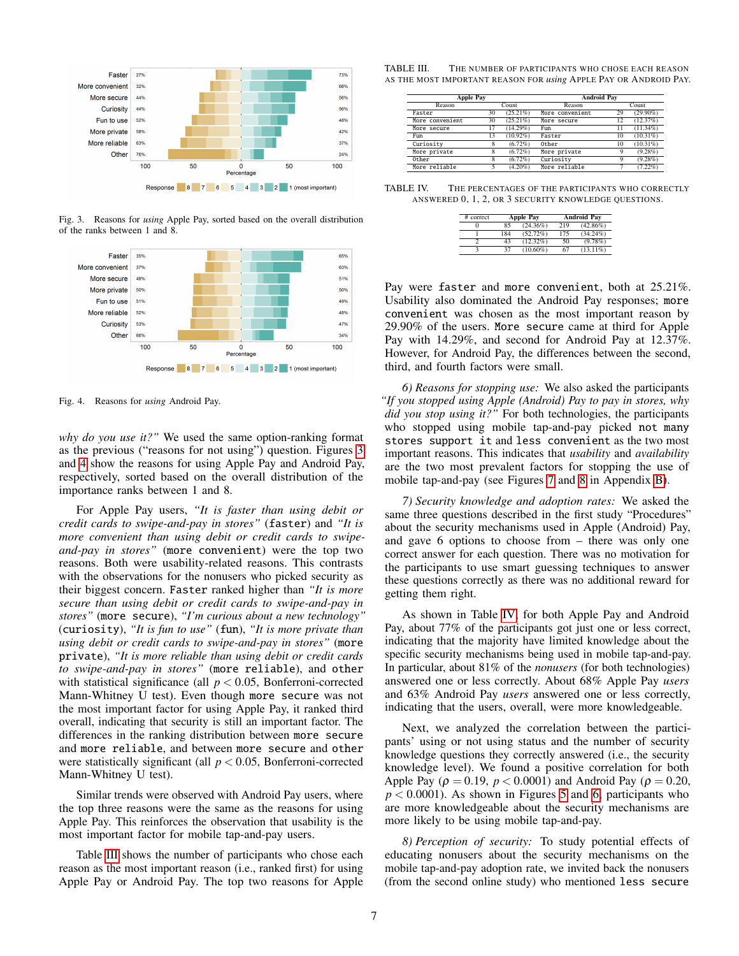

Response 8 7 6 5 4 3 2 1 (most important)

<span id="page-6-0"></span>Fig. 3. Reasons for *using* Apple Pay, sorted based on the overall distribution of the ranks between 1 and 8.



<span id="page-6-1"></span>Fig. 4. Reasons for *using* Android Pay.

*why do you use it?"* We used the same option-ranking format as the previous ("reasons for not using") question. Figures [3](#page-6-0) and [4](#page-6-1) show the reasons for using Apple Pay and Android Pay, respectively, sorted based on the overall distribution of the importance ranks between 1 and 8.

For Apple Pay users, *"It is faster than using debit or credit cards to swipe-and-pay in stores"* (faster) and *"It is more convenient than using debit or credit cards to swipeand-pay in stores"* (more convenient) were the top two reasons. Both were usability-related reasons. This contrasts with the observations for the nonusers who picked security as their biggest concern. Faster ranked higher than *"It is more secure than using debit or credit cards to swipe-and-pay in stores"* (more secure), *"I'm curious about a new technology"* (curiosity), *"It is fun to use"* (fun), *"It is more private than using debit or credit cards to swipe-and-pay in stores"* (more private), *"It is more reliable than using debit or credit cards to swipe-and-pay in stores"* (more reliable), and other with statistical significance (all  $p < 0.05$ , Bonferroni-corrected Mann-Whitney U test). Even though more secure was not the most important factor for using Apple Pay, it ranked third overall, indicating that security is still an important factor. The differences in the ranking distribution between more secure and more reliable, and between more secure and other were statistically significant (all *p* < 0.05, Bonferroni-corrected Mann-Whitney U test).

Similar trends were observed with Android Pay users, where the top three reasons were the same as the reasons for using Apple Pay. This reinforces the observation that usability is the most important factor for mobile tap-and-pay users.

Table [III](#page-6-2) shows the number of participants who chose each reason as the most important reason (i.e., ranked first) for using Apple Pay or Android Pay. The top two reasons for Apple

TABLE III. THE NUMBER OF PARTICIPANTS WHO CHOSE EACH REASON AS THE MOST IMPORTANT REASON FOR *using* APPLE PAY OR ANDROID PAY.

<span id="page-6-2"></span>

| <b>Apple Pay</b> |       |             | <b>Android Pay</b> |    |             |  |
|------------------|-------|-------------|--------------------|----|-------------|--|
| Reason           | Count |             | Reason             |    | Count       |  |
| Faster           | 30    | $(25.21\%)$ | More convenient    | 29 | $(29.90\%)$ |  |
| More convenient  | 30    | $(25.21\%)$ | More secure        | 12 | (12.37%)    |  |
| More secure      | 17    | $(14.29\%)$ | Fun                | 11 | $(11.34\%)$ |  |
| Fun              | 13    | $(10.92\%)$ | Faster             | 10 | $(10.31\%)$ |  |
| Curiosity        | x     | $(6.72\%)$  | Other              | 10 | $(10.31\%)$ |  |
| More private     |       | $(6.72\%)$  | More private       | 9  | $(9.28\%)$  |  |
| Other            | 8     | $(6.72\%)$  | Curiosity          | 9  | $(9.28\%)$  |  |
| More reliable    |       | $(4.20\%)$  | More reliable      |    | $(7.22\%)$  |  |

TABLE IV. THE PERCENTAGES OF THE PARTICIPANTS WHO CORRECTLY ANSWERED 0, 1, 2, OR 3 SECURITY KNOWLEDGE QUESTIONS.

<span id="page-6-3"></span>

| # correct | <b>Apple Pay</b> |             |     | <b>Android Pav</b> |
|-----------|------------------|-------------|-----|--------------------|
|           | 85               | $(24.36\%)$ | 219 | $(42.86\%)$        |
|           | 184              | $(52.72\%)$ | 175 | $(34.24\%)$        |
|           | 43               | $(12.32\%)$ | 50  | $(9.78\%)$         |
|           | 37               | $(10.60\%)$ | 67  | $(13.11\%)$        |

Pay were faster and more convenient, both at 25.21%. Usability also dominated the Android Pay responses; more convenient was chosen as the most important reason by 29.90% of the users. More secure came at third for Apple Pay with 14.29%, and second for Android Pay at 12.37%. However, for Android Pay, the differences between the second, third, and fourth factors were small.

*6) Reasons for stopping use:* We also asked the participants *"If you stopped using Apple (Android) Pay to pay in stores, why did you stop using it?"* For both technologies, the participants who stopped using mobile tap-and-pay picked not many stores support it and less convenient as the two most important reasons. This indicates that *usability* and *availability* are the two most prevalent factors for stopping the use of mobile tap-and-pay (see Figures [7](#page-10-9) and [8](#page-10-10) in Appendix [B\)](#page-10-11).

*7) Security knowledge and adoption rates:* We asked the same three questions described in the first study "Procedures" about the security mechanisms used in Apple (Android) Pay, and gave 6 options to choose from – there was only one correct answer for each question. There was no motivation for the participants to use smart guessing techniques to answer these questions correctly as there was no additional reward for getting them right.

As shown in Table [IV,](#page-6-3) for both Apple Pay and Android Pay, about 77% of the participants got just one or less correct, indicating that the majority have limited knowledge about the specific security mechanisms being used in mobile tap-and-pay. In particular, about 81% of the *nonusers* (for both technologies) answered one or less correctly. About 68% Apple Pay *users* and 63% Android Pay *users* answered one or less correctly, indicating that the users, overall, were more knowledgeable.

Next, we analyzed the correlation between the participants' using or not using status and the number of security knowledge questions they correctly answered (i.e., the security knowledge level). We found a positive correlation for both Apple Pay ( $\rho = 0.19$ ,  $p < 0.0001$ ) and Android Pay ( $\rho = 0.20$ ,  $p < 0.0001$ ). As shown in Figures [5](#page-7-0) and [6,](#page-7-1) participants who are more knowledgeable about the security mechanisms are more likely to be using mobile tap-and-pay.

*8) Perception of security:* To study potential effects of educating nonusers about the security mechanisms on the mobile tap-and-pay adoption rate, we invited back the nonusers (from the second online study) who mentioned less secure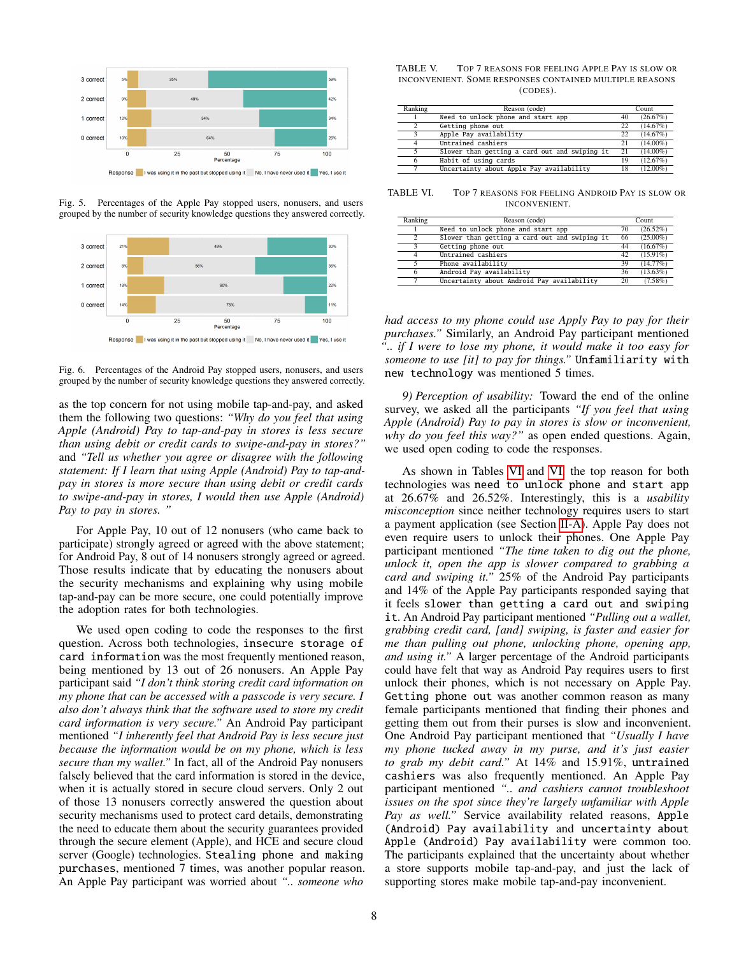

<span id="page-7-0"></span>Fig. 5. Percentages of the Apple Pay stopped users, nonusers, and users grouped by the number of security knowledge questions they answered correctly.



<span id="page-7-1"></span>Response I was using it in the past but stopped using it No, I have never used it Yes, I use it

Fig. 6. Percentages of the Android Pay stopped users, nonusers, and users grouped by the number of security knowledge questions they answered correctly.

as the top concern for not using mobile tap-and-pay, and asked them the following two questions: *"Why do you feel that using Apple (Android) Pay to tap-and-pay in stores is less secure than using debit or credit cards to swipe-and-pay in stores?"* and *"Tell us whether you agree or disagree with the following statement: If I learn that using Apple (Android) Pay to tap-andpay in stores is more secure than using debit or credit cards to swipe-and-pay in stores, I would then use Apple (Android) Pay to pay in stores. "*

For Apple Pay, 10 out of 12 nonusers (who came back to participate) strongly agreed or agreed with the above statement; for Android Pay, 8 out of 14 nonusers strongly agreed or agreed. Those results indicate that by educating the nonusers about the security mechanisms and explaining why using mobile tap-and-pay can be more secure, one could potentially improve the adoption rates for both technologies.

We used open coding to code the responses to the first question. Across both technologies, insecure storage of card information was the most frequently mentioned reason, being mentioned by 13 out of 26 nonusers. An Apple Pay participant said *"I don't think storing credit card information on my phone that can be accessed with a passcode is very secure. I also don't always think that the software used to store my credit card information is very secure."* An Android Pay participant mentioned *"I inherently feel that Android Pay is less secure just because the information would be on my phone, which is less secure than my wallet."* In fact, all of the Android Pay nonusers falsely believed that the card information is stored in the device, when it is actually stored in secure cloud servers. Only 2 out of those 13 nonusers correctly answered the question about security mechanisms used to protect card details, demonstrating the need to educate them about the security guarantees provided through the secure element (Apple), and HCE and secure cloud server (Google) technologies. Stealing phone and making purchases, mentioned 7 times, was another popular reason. An Apple Pay participant was worried about *".. someone who*

TABLE V. TOP 7 REASONS FOR FEELING APPLE PAY IS SLOW OR INCONVENIENT. SOME RESPONSES CONTAINED MULTIPLE REASONS (CODES).

| Ranking | Reason (code)                                 | Count |             |
|---------|-----------------------------------------------|-------|-------------|
|         | Need to unlock phone and start app            | 40    | (26.67%)    |
|         | Getting phone out                             | 22    | (14.67%)    |
| 2       | Apple Pay availability                        | 22    | (14.67%)    |
|         | Untrained cashiers                            | 21    | $(14.00\%)$ |
|         | Slower than getting a card out and swiping it | 21    | $(14.00\%)$ |
| 6       | Habit of using cards                          | 19    | (12.67%)    |
|         | Uncertainty about Apple Pay availability      | 18    | $(12.00\%)$ |

TABLE VI. TOP 7 REASONS FOR FEELING ANDROID PAY IS SLOW OR INCONVENIENT.

<span id="page-7-2"></span>

| Ranking                 | Reason (code)                                 |    | Count       |  |
|-------------------------|-----------------------------------------------|----|-------------|--|
|                         | Need to unlock phone and start app            |    | $(26.52\%)$ |  |
| 2                       | Slower than getting a card out and swiping it |    | $(25.00\%)$ |  |
| $\mathbf{\hat{z}}$      | Getting phone out                             |    | (16.67%)    |  |
| $\overline{\mathbf{4}}$ | Untrained cashiers                            | 42 | $(15.91\%)$ |  |
| 5                       | Phone availability                            | 39 | $(14.77\%)$ |  |
| 6                       | Android Pay availability                      | 36 | $(13.63\%)$ |  |
|                         | Uncertainty about Android Pay availability    | 20 | $(7.58\%)$  |  |

*had access to my phone could use Apply Pay to pay for their purchases."* Similarly, an Android Pay participant mentioned *".. if I were to lose my phone, it would make it too easy for someone to use [it] to pay for things."* Unfamiliarity with new technology was mentioned 5 times.

*9) Perception of usability:* Toward the end of the online survey, we asked all the participants *"If you feel that using Apple (Android) Pay to pay in stores is slow or inconvenient, why do you feel this way?"* as open ended questions. Again, we used open coding to code the responses.

As shown in Tables [VI](#page-7-2) and [VI,](#page-7-2) the top reason for both technologies was need to unlock phone and start app at 26.67% and 26.52%. Interestingly, this is a *usability misconception* since neither technology requires users to start a payment application (see Section [II-A\)](#page-1-0). Apple Pay does not even require users to unlock their phones. One Apple Pay participant mentioned *"The time taken to dig out the phone, unlock it, open the app is slower compared to grabbing a card and swiping it."* 25% of the Android Pay participants and 14% of the Apple Pay participants responded saying that it feels slower than getting a card out and swiping it. An Android Pay participant mentioned *"Pulling out a wallet, grabbing credit card, [and] swiping, is faster and easier for me than pulling out phone, unlocking phone, opening app, and using it."* A larger percentage of the Android participants could have felt that way as Android Pay requires users to first unlock their phones, which is not necessary on Apple Pay. Getting phone out was another common reason as many female participants mentioned that finding their phones and getting them out from their purses is slow and inconvenient. One Android Pay participant mentioned that *"Usually I have my phone tucked away in my purse, and it's just easier to grab my debit card."* At 14% and 15.91%, untrained cashiers was also frequently mentioned. An Apple Pay participant mentioned *".. and cashiers cannot troubleshoot issues on the spot since they're largely unfamiliar with Apple Pay as well."* Service availability related reasons, Apple (Android) Pay availability and uncertainty about Apple (Android) Pay availability were common too. The participants explained that the uncertainty about whether a store supports mobile tap-and-pay, and just the lack of supporting stores make mobile tap-and-pay inconvenient.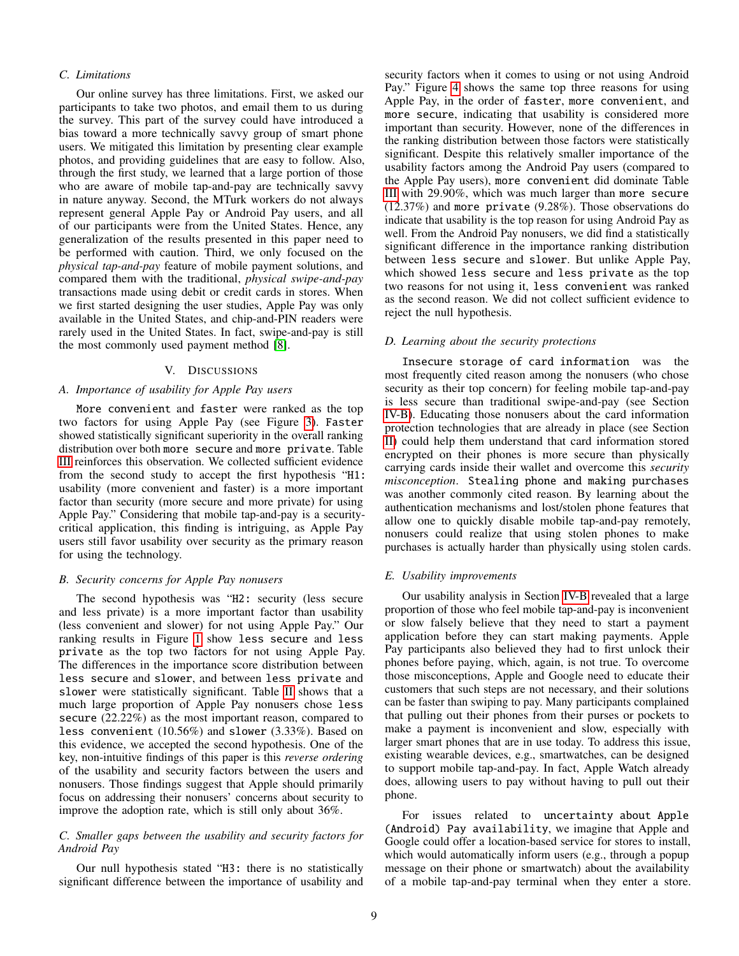# *C. Limitations*

Our online survey has three limitations. First, we asked our participants to take two photos, and email them to us during the survey. This part of the survey could have introduced a bias toward a more technically savvy group of smart phone users. We mitigated this limitation by presenting clear example photos, and providing guidelines that are easy to follow. Also, through the first study, we learned that a large portion of those who are aware of mobile tap-and-pay are technically savvy in nature anyway. Second, the MTurk workers do not always represent general Apple Pay or Android Pay users, and all of our participants were from the United States. Hence, any generalization of the results presented in this paper need to be performed with caution. Third, we only focused on the *physical tap-and-pay* feature of mobile payment solutions, and compared them with the traditional, *physical swipe-and-pay* transactions made using debit or credit cards in stores. When we first started designing the user studies, Apple Pay was only available in the United States, and chip-and-PIN readers were rarely used in the United States. In fact, swipe-and-pay is still the most commonly used payment method [\[8\]](#page-10-12).

#### V. DISCUSSIONS

## *A. Importance of usability for Apple Pay users*

More convenient and faster were ranked as the top two factors for using Apple Pay (see Figure [3\)](#page-6-0). Faster showed statistically significant superiority in the overall ranking distribution over both more secure and more private. Table [III](#page-6-2) reinforces this observation. We collected sufficient evidence from the second study to accept the first hypothesis "H1: usability (more convenient and faster) is a more important factor than security (more secure and more private) for using Apple Pay." Considering that mobile tap-and-pay is a securitycritical application, this finding is intriguing, as Apple Pay users still favor usability over security as the primary reason for using the technology.

# *B. Security concerns for Apple Pay nonusers*

The second hypothesis was "H2: security (less secure and less private) is a more important factor than usability (less convenient and slower) for not using Apple Pay." Our ranking results in Figure [1](#page-5-1) show less secure and less private as the top two factors for not using Apple Pay. The differences in the importance score distribution between less secure and slower, and between less private and slower were statistically significant. Table [II](#page-5-3) shows that a much large proportion of Apple Pay nonusers chose less secure (22.22%) as the most important reason, compared to less convenient (10.56%) and slower (3.33%). Based on this evidence, we accepted the second hypothesis. One of the key, non-intuitive findings of this paper is this *reverse ordering* of the usability and security factors between the users and nonusers. Those findings suggest that Apple should primarily focus on addressing their nonusers' concerns about security to improve the adoption rate, which is still only about 36%.

# *C. Smaller gaps between the usability and security factors for Android Pay*

Our null hypothesis stated "H3: there is no statistically significant difference between the importance of usability and security factors when it comes to using or not using Android Pay." Figure [4](#page-6-1) shows the same top three reasons for using Apple Pay, in the order of faster, more convenient, and more secure, indicating that usability is considered more important than security. However, none of the differences in the ranking distribution between those factors were statistically significant. Despite this relatively smaller importance of the usability factors among the Android Pay users (compared to the Apple Pay users), more convenient did dominate Table [III](#page-6-2) with 29.90%, which was much larger than more secure (12.37%) and more private (9.28%). Those observations do indicate that usability is the top reason for using Android Pay as well. From the Android Pay nonusers, we did find a statistically significant difference in the importance ranking distribution between less secure and slower. But unlike Apple Pay, which showed less secure and less private as the top two reasons for not using it, less convenient was ranked as the second reason. We did not collect sufficient evidence to reject the null hypothesis.

#### *D. Learning about the security protections*

Insecure storage of card information was the most frequently cited reason among the nonusers (who chose security as their top concern) for feeling mobile tap-and-pay is less secure than traditional swipe-and-pay (see Section [IV-B\)](#page-4-0). Educating those nonusers about the card information protection technologies that are already in place (see Section [II\)](#page-1-1) could help them understand that card information stored encrypted on their phones is more secure than physically carrying cards inside their wallet and overcome this *security misconception*. Stealing phone and making purchases was another commonly cited reason. By learning about the authentication mechanisms and lost/stolen phone features that allow one to quickly disable mobile tap-and-pay remotely, nonusers could realize that using stolen phones to make purchases is actually harder than physically using stolen cards.

## *E. Usability improvements*

Our usability analysis in Section [IV-B](#page-4-0) revealed that a large proportion of those who feel mobile tap-and-pay is inconvenient or slow falsely believe that they need to start a payment application before they can start making payments. Apple Pay participants also believed they had to first unlock their phones before paying, which, again, is not true. To overcome those misconceptions, Apple and Google need to educate their customers that such steps are not necessary, and their solutions can be faster than swiping to pay. Many participants complained that pulling out their phones from their purses or pockets to make a payment is inconvenient and slow, especially with larger smart phones that are in use today. To address this issue, existing wearable devices, e.g., smartwatches, can be designed to support mobile tap-and-pay. In fact, Apple Watch already does, allowing users to pay without having to pull out their phone.

For issues related to uncertainty about Apple (Android) Pay availability, we imagine that Apple and Google could offer a location-based service for stores to install, which would automatically inform users (e.g., through a popup message on their phone or smartwatch) about the availability of a mobile tap-and-pay terminal when they enter a store.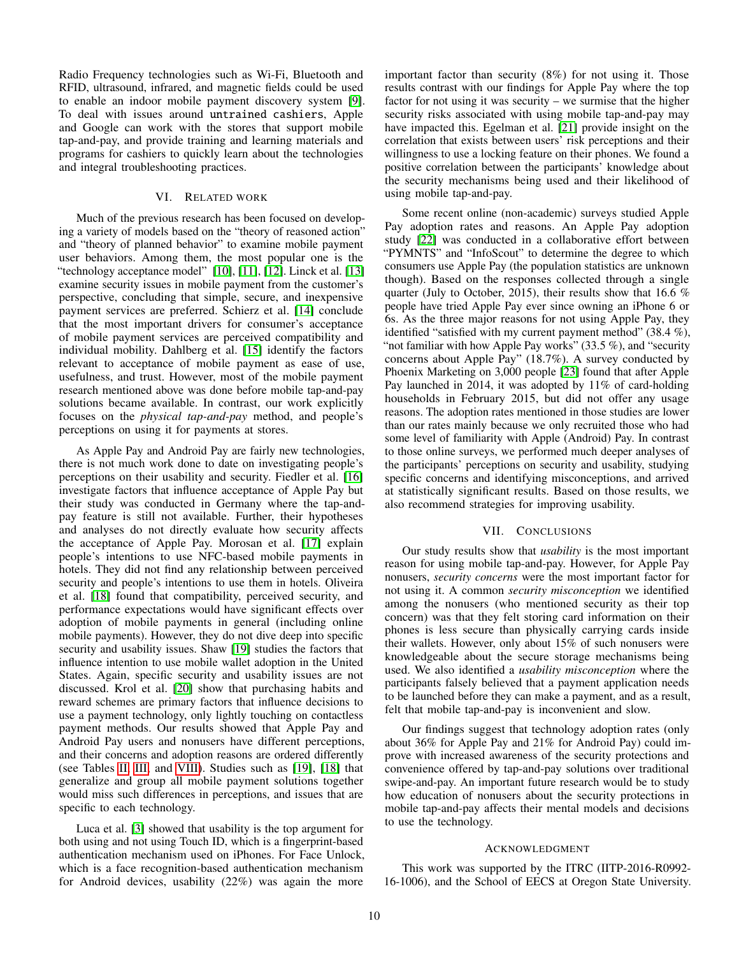Radio Frequency technologies such as Wi-Fi, Bluetooth and RFID, ultrasound, infrared, and magnetic fields could be used to enable an indoor mobile payment discovery system [\[9\]](#page-10-13). To deal with issues around untrained cashiers, Apple and Google can work with the stores that support mobile tap-and-pay, and provide training and learning materials and programs for cashiers to quickly learn about the technologies and integral troubleshooting practices.

## VI. RELATED WORK

Much of the previous research has been focused on developing a variety of models based on the "theory of reasoned action" and "theory of planned behavior" to examine mobile payment user behaviors. Among them, the most popular one is the "technology acceptance model" [\[10\]](#page-10-14), [\[11\]](#page-10-15), [\[12\]](#page-10-16). Linck et al. [\[13\]](#page-10-17) examine security issues in mobile payment from the customer's perspective, concluding that simple, secure, and inexpensive payment services are preferred. Schierz et al. [\[14\]](#page-10-18) conclude that the most important drivers for consumer's acceptance of mobile payment services are perceived compatibility and individual mobility. Dahlberg et al. [\[15\]](#page-10-19) identify the factors relevant to acceptance of mobile payment as ease of use, usefulness, and trust. However, most of the mobile payment research mentioned above was done before mobile tap-and-pay solutions became available. In contrast, our work explicitly focuses on the *physical tap-and-pay* method, and people's perceptions on using it for payments at stores.

As Apple Pay and Android Pay are fairly new technologies, there is not much work done to date on investigating people's perceptions on their usability and security. Fiedler et al. [\[16\]](#page-10-20) investigate factors that influence acceptance of Apple Pay but their study was conducted in Germany where the tap-andpay feature is still not available. Further, their hypotheses and analyses do not directly evaluate how security affects the acceptance of Apple Pay. Morosan et al. [\[17\]](#page-10-21) explain people's intentions to use NFC-based mobile payments in hotels. They did not find any relationship between perceived security and people's intentions to use them in hotels. Oliveira et al. [\[18\]](#page-10-22) found that compatibility, perceived security, and performance expectations would have significant effects over adoption of mobile payments in general (including online mobile payments). However, they do not dive deep into specific security and usability issues. Shaw [\[19\]](#page-10-23) studies the factors that influence intention to use mobile wallet adoption in the United States. Again, specific security and usability issues are not discussed. Krol et al. [\[20\]](#page-10-24) show that purchasing habits and reward schemes are primary factors that influence decisions to use a payment technology, only lightly touching on contactless payment methods. Our results showed that Apple Pay and Android Pay users and nonusers have different perceptions, and their concerns and adoption reasons are ordered differently (see Tables [II,](#page-5-3) [III,](#page-6-2) and [VIII\)](#page-11-0). Studies such as [\[19\]](#page-10-23), [\[18\]](#page-10-22) that generalize and group all mobile payment solutions together would miss such differences in perceptions, and issues that are specific to each technology.

Luca et al. [\[3\]](#page-10-2) showed that usability is the top argument for both using and not using Touch ID, which is a fingerprint-based authentication mechanism used on iPhones. For Face Unlock, which is a face recognition-based authentication mechanism for Android devices, usability (22%) was again the more

important factor than security (8%) for not using it. Those results contrast with our findings for Apple Pay where the top factor for not using it was security – we surmise that the higher security risks associated with using mobile tap-and-pay may have impacted this. Egelman et al. [\[21\]](#page-10-25) provide insight on the correlation that exists between users' risk perceptions and their willingness to use a locking feature on their phones. We found a positive correlation between the participants' knowledge about the security mechanisms being used and their likelihood of using mobile tap-and-pay.

Some recent online (non-academic) surveys studied Apple Pay adoption rates and reasons. An Apple Pay adoption study [\[22\]](#page-10-26) was conducted in a collaborative effort between "PYMNTS" and "InfoScout" to determine the degree to which consumers use Apple Pay (the population statistics are unknown though). Based on the responses collected through a single quarter (July to October, 2015), their results show that 16.6 % people have tried Apple Pay ever since owning an iPhone 6 or 6s. As the three major reasons for not using Apple Pay, they identified "satisfied with my current payment method" (38.4 %), "not familiar with how Apple Pay works"  $(33.5\%)$ , and "security" concerns about Apple Pay" (18.7%). A survey conducted by Phoenix Marketing on 3,000 people [\[23\]](#page-10-27) found that after Apple Pay launched in 2014, it was adopted by 11% of card-holding households in February 2015, but did not offer any usage reasons. The adoption rates mentioned in those studies are lower than our rates mainly because we only recruited those who had some level of familiarity with Apple (Android) Pay. In contrast to those online surveys, we performed much deeper analyses of the participants' perceptions on security and usability, studying specific concerns and identifying misconceptions, and arrived at statistically significant results. Based on those results, we also recommend strategies for improving usability.

### VII. CONCLUSIONS

Our study results show that *usability* is the most important reason for using mobile tap-and-pay. However, for Apple Pay nonusers, *security concerns* were the most important factor for not using it. A common *security misconception* we identified among the nonusers (who mentioned security as their top concern) was that they felt storing card information on their phones is less secure than physically carrying cards inside their wallets. However, only about 15% of such nonusers were knowledgeable about the secure storage mechanisms being used. We also identified a *usability misconception* where the participants falsely believed that a payment application needs to be launched before they can make a payment, and as a result, felt that mobile tap-and-pay is inconvenient and slow.

Our findings suggest that technology adoption rates (only about 36% for Apple Pay and 21% for Android Pay) could improve with increased awareness of the security protections and convenience offered by tap-and-pay solutions over traditional swipe-and-pay. An important future research would be to study how education of nonusers about the security protections in mobile tap-and-pay affects their mental models and decisions to use the technology.

#### ACKNOWLEDGMENT

This work was supported by the ITRC (IITP-2016-R0992- 16-1006), and the School of EECS at Oregon State University.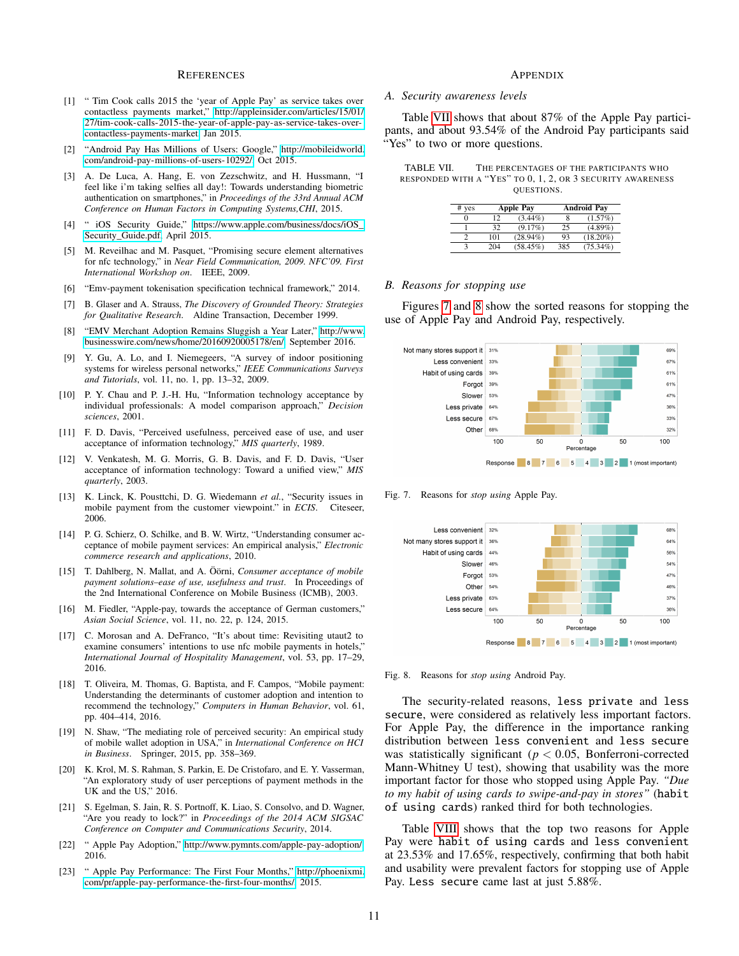#### **REFERENCES**

- <span id="page-10-0"></span>[1] " Tim Cook calls 2015 the 'year of Apple Pay' as service takes over contactless payments market," [http://appleinsider.com/articles/15/01/](http://appleinsider.com/articles/15/01/27/tim-cook-calls-2015-the-year-of-apple-pay-as-service-takes-over-contactless-payments-market) [27/tim-cook-calls-2015-the-year-of-apple-pay-as-service-takes-over](http://appleinsider.com/articles/15/01/27/tim-cook-calls-2015-the-year-of-apple-pay-as-service-takes-over-contactless-payments-market)[contactless-payments-market,](http://appleinsider.com/articles/15/01/27/tim-cook-calls-2015-the-year-of-apple-pay-as-service-takes-over-contactless-payments-market) Jan 2015.
- <span id="page-10-1"></span>[2] "Android Pay Has Millions of Users: Google," [http://mobileidworld.](http://mobileidworld.com/android-pay-millions-of-users-10292/) [com/android-pay-millions-of-users-10292/,](http://mobileidworld.com/android-pay-millions-of-users-10292/) Oct 2015.
- <span id="page-10-2"></span>[3] A. De Luca, A. Hang, E. von Zezschwitz, and H. Hussmann, "I feel like i'm taking selfies all day!: Towards understanding biometric authentication on smartphones," in *Proceedings of the 33rd Annual ACM Conference on Human Factors in Computing Systems,CHI*, 2015.
- <span id="page-10-3"></span>[4] " iOS Security Guide," [https://www.apple.com/business/docs/iOS\\_](https://www.apple.com/business/docs/iOS_Security_Guide.pdf) [Security\\_Guide.pdf,](https://www.apple.com/business/docs/iOS_Security_Guide.pdf) April 2015.
- <span id="page-10-4"></span>[5] M. Reveilhac and M. Pasquet, "Promising secure element alternatives for nfc technology," in *Near Field Communication, 2009. NFC'09. First International Workshop on*. IEEE, 2009.
- <span id="page-10-5"></span>[6] "Emv-payment tokenisation specification technical framework," 2014.
- <span id="page-10-6"></span>[7] B. Glaser and A. Strauss, *The Discovery of Grounded Theory: Strategies for Qualitative Research*. Aldine Transaction, December 1999.
- <span id="page-10-12"></span>[8] "EMV Merchant Adoption Remains Sluggish a Year Later," [http://www.](http://www.businesswire.com/news/home/20160920005178/en/) [businesswire.com/news/home/20160920005178/en/,](http://www.businesswire.com/news/home/20160920005178/en/) September 2016.
- <span id="page-10-13"></span>[9] Y. Gu, A. Lo, and I. Niemegeers, "A survey of indoor positioning systems for wireless personal networks," *IEEE Communications Surveys and Tutorials*, vol. 11, no. 1, pp. 13–32, 2009.
- <span id="page-10-14"></span>[10] P. Y. Chau and P. J.-H. Hu, "Information technology acceptance by individual professionals: A model comparison approach," *Decision sciences*, 2001.
- <span id="page-10-15"></span>[11] F. D. Davis, "Perceived usefulness, perceived ease of use, and user acceptance of information technology," *MIS quarterly*, 1989.
- <span id="page-10-16"></span>[12] V. Venkatesh, M. G. Morris, G. B. Davis, and F. D. Davis, "User acceptance of information technology: Toward a unified view," *MIS quarterly*, 2003.
- <span id="page-10-17"></span>[13] K. Linck, K. Pousttchi, D. G. Wiedemann *et al.*, "Security issues in mobile payment from the customer viewpoint." in *ECIS*. Citeseer, 2006.
- <span id="page-10-18"></span>[14] P. G. Schierz, O. Schilke, and B. W. Wirtz, "Understanding consumer acceptance of mobile payment services: An empirical analysis," *Electronic commerce research and applications*, 2010.
- <span id="page-10-19"></span>[15] T. Dahlberg, N. Mallat, and A. Öörni, *Consumer acceptance of mobile payment solutions–ease of use, usefulness and trust*. In Proceedings of the 2nd International Conference on Mobile Business (ICMB), 2003.
- <span id="page-10-20"></span>[16] M. Fiedler, "Apple-pay, towards the acceptance of German customers," *Asian Social Science*, vol. 11, no. 22, p. 124, 2015.
- <span id="page-10-21"></span>[17] C. Morosan and A. DeFranco, "It's about time: Revisiting utaut2 to examine consumers' intentions to use nfc mobile payments in hotels," *International Journal of Hospitality Management*, vol. 53, pp. 17–29, 2016.
- <span id="page-10-22"></span>[18] T. Oliveira, M. Thomas, G. Baptista, and F. Campos, "Mobile payment: Understanding the determinants of customer adoption and intention to recommend the technology," *Computers in Human Behavior*, vol. 61, pp. 404–414, 2016.
- <span id="page-10-23"></span>[19] N. Shaw, "The mediating role of perceived security: An empirical study of mobile wallet adoption in USA," in *International Conference on HCI in Business*. Springer, 2015, pp. 358–369.
- <span id="page-10-24"></span>[20] K. Krol, M. S. Rahman, S. Parkin, E. De Cristofaro, and E. Y. Vasserman, "An exploratory study of user perceptions of payment methods in the UK and the US," 2016.
- <span id="page-10-25"></span>[21] S. Egelman, S. Jain, R. S. Portnoff, K. Liao, S. Consolvo, and D. Wagner, "Are you ready to lock?" in *Proceedings of the 2014 ACM SIGSAC Conference on Computer and Communications Security*, 2014.
- <span id="page-10-26"></span>[22] " Apple Pay Adoption," [http://www.pymnts.com/apple-pay-adoption/,](http://www.pymnts.com/apple-pay-adoption/) 2016.
- <span id="page-10-27"></span>[23] " Apple Pay Performance: The First Four Months," [http://phoenixmi.](http://phoenixmi.com/pr/apple-pay-performance-the-first-four-months/) [com/pr/apple-pay-performance-the-first-four-months/,](http://phoenixmi.com/pr/apple-pay-performance-the-first-four-months/) 2015.

## APPENDIX

#### <span id="page-10-8"></span>*A. Security awareness levels*

Table [VII](#page-10-7) shows that about 87% of the Apple Pay participants, and about 93.54% of the Android Pay participants said "Yes" to two or more questions.

| TABLE VII. | THE PERCENTAGES OF THE PARTICIPANTS WHO                    |
|------------|------------------------------------------------------------|
|            | responded with a "Yes" to 0, 1, 2, or 3 security awareness |
|            | OUESTIONS.                                                 |

<span id="page-10-7"></span>

| $#$ yes | <b>Apple Pay</b> |             |     | <b>Android Pay</b> |
|---------|------------------|-------------|-----|--------------------|
|         | 12               | $(3.44\%)$  |     | (1.57%)            |
|         | 32               | (9.17%)     | 25  | $(4.89\%)$         |
| っ       | 101              | $(28.94\%)$ | 93  | $(18.20\%)$        |
| з       | 204              | $(58.45\%)$ | 385 | $(75.34\%)$        |

## <span id="page-10-11"></span>*B. Reasons for stopping use*

Figures [7](#page-10-9) and [8](#page-10-10) show the sorted reasons for stopping the use of Apple Pay and Android Pay, respectively.



<span id="page-10-9"></span>Fig. 7. Reasons for *stop using* Apple Pay.



<span id="page-10-10"></span>Fig. 8. Reasons for *stop using* Android Pay.

The security-related reasons, less private and less secure, were considered as relatively less important factors. For Apple Pay, the difference in the importance ranking distribution between less convenient and less secure was statistically significant ( $p < 0.05$ , Bonferroni-corrected Mann-Whitney U test), showing that usability was the more important factor for those who stopped using Apple Pay. *"Due to my habit of using cards to swipe-and-pay in stores"* (habit of using cards) ranked third for both technologies.

Table [VIII](#page-11-0) shows that the top two reasons for Apple Pay were habit of using cards and less convenient at 23.53% and 17.65%, respectively, confirming that both habit and usability were prevalent factors for stopping use of Apple Pay. Less secure came last at just 5.88%.